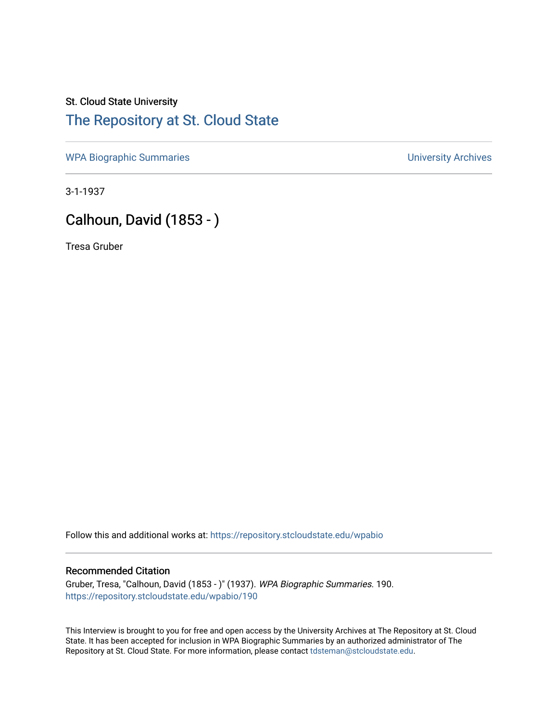## St. Cloud State University [The Repository at St. Cloud State](https://repository.stcloudstate.edu/)

[WPA Biographic Summaries](https://repository.stcloudstate.edu/wpabio) **WPA Biographic Summaries University Archives** 

3-1-1937

## Calhoun, David (1853 - )

Tresa Gruber

Follow this and additional works at: [https://repository.stcloudstate.edu/wpabio](https://repository.stcloudstate.edu/wpabio?utm_source=repository.stcloudstate.edu%2Fwpabio%2F190&utm_medium=PDF&utm_campaign=PDFCoverPages) 

## Recommended Citation

Gruber, Tresa, "Calhoun, David (1853 - )" (1937). WPA Biographic Summaries. 190. [https://repository.stcloudstate.edu/wpabio/190](https://repository.stcloudstate.edu/wpabio/190?utm_source=repository.stcloudstate.edu%2Fwpabio%2F190&utm_medium=PDF&utm_campaign=PDFCoverPages) 

This Interview is brought to you for free and open access by the University Archives at The Repository at St. Cloud State. It has been accepted for inclusion in WPA Biographic Summaries by an authorized administrator of The Repository at St. Cloud State. For more information, please contact [tdsteman@stcloudstate.edu.](mailto:tdsteman@stcloudstate.edu)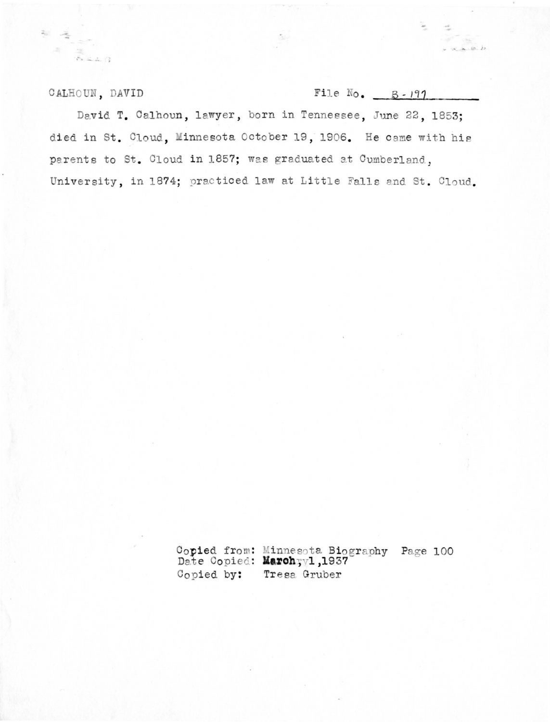CALHOUN, DAVID

 $\mathbb{R}^n$  $\sqrt{2}$  and  $\sqrt{2}$ 

| File No. | $B - 197$ |  |
|----------|-----------|--|
|          |           |  |

 $\leq 25$  $x_{n-1}$  (p)  $x_2$ 

David T. Calhoun, lawyer, born in Tennessee, June 22, 1853; died in St. Cloud, Minnesota October 19, 1906. He came with his parents to St. Cloud in 1857; was graduated at Cumberland, University, in 1874; practiced law at Little Falls and St. Cloud.

> Copied from: Minnesota Biography Page 100<br>Date Copied: Marchyyl, 1937 Copied by: Tresa Gruber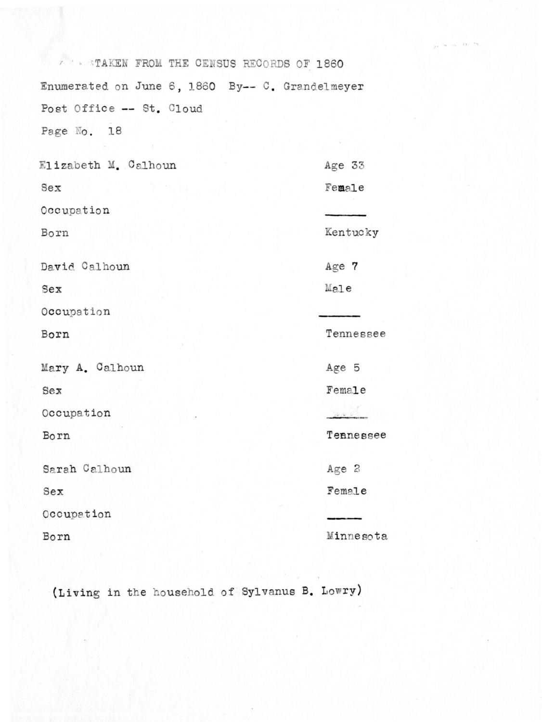**X : STAKEN FROM THE CENSUS RECORDS OF 1860** Enumerated on June 6, 1860 By-- C. Grandelmeyer Post Office -- St. Cloud Page No. 18 Elizabeth M. Calhoun Age 33  $Sex$ Female Occupation Kentucky Born David Calhoun Age 7  $Ma1e$ Sex Occupation Tennessee Born Mary A. Calhoun Age 5 Sex Female Occupation Tennessee Born Sarah Calhoun Age 2 Female  $Sex$ Occupation Minnesota Born

cy.

(Living in the household of Sylvanus B. Lowry)